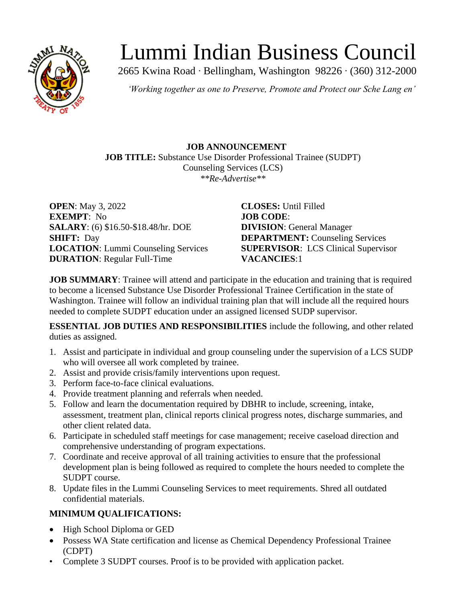

# Lummi Indian Business Council

2665 Kwina Road ∙ Bellingham, Washington 98226 ∙ (360) 312-2000

*'Working together as one to Preserve, Promote and Protect our Sche Lang en'*

**JOB ANNOUNCEMENT JOB TITLE:** Substance Use Disorder Professional Trainee (SUDPT) Counseling Services (LCS) *\*\*Re-Advertise\*\**

**OPEN**: May 3, 2022 **CLOSES:** Until Filled **EXEMPT**: No **JOB CODE**: **SALARY**: (6) \$16.50-\$18.48/hr. DOE **DIVISION**: General Manager **SHIFT:** Day **DEPARTMENT:** Counseling Services **LOCATION**: Lummi Counseling Services **SUPERVISOR**: LCS Clinical Supervisor **DURATION**: Regular Full-Time **VACANCIES**:1

**JOB SUMMARY**: Trainee will attend and participate in the education and training that is required to become a licensed Substance Use Disorder Professional Trainee Certification in the state of Washington. Trainee will follow an individual training plan that will include all the required hours needed to complete SUDPT education under an assigned licensed SUDP supervisor.

**ESSENTIAL JOB DUTIES AND RESPONSIBILITIES** include the following, and other related duties as assigned.

- 1. Assist and participate in individual and group counseling under the supervision of a LCS SUDP who will oversee all work completed by trainee.
- 2. Assist and provide crisis/family interventions upon request.
- 3. Perform face-to-face clinical evaluations.
- 4. Provide treatment planning and referrals when needed.
- 5. Follow and learn the documentation required by DBHR to include, screening, intake, assessment, treatment plan, clinical reports clinical progress notes, discharge summaries, and other client related data.
- 6. Participate in scheduled staff meetings for case management; receive caseload direction and comprehensive understanding of program expectations.
- 7. Coordinate and receive approval of all training activities to ensure that the professional development plan is being followed as required to complete the hours needed to complete the SUDPT course.
- 8. Update files in the Lummi Counseling Services to meet requirements. Shred all outdated confidential materials.

## **MINIMUM QUALIFICATIONS:**

- High School Diploma or GED
- Possess WA State certification and license as Chemical Dependency Professional Trainee (CDPT)
- Complete 3 SUDPT courses. Proof is to be provided with application packet.